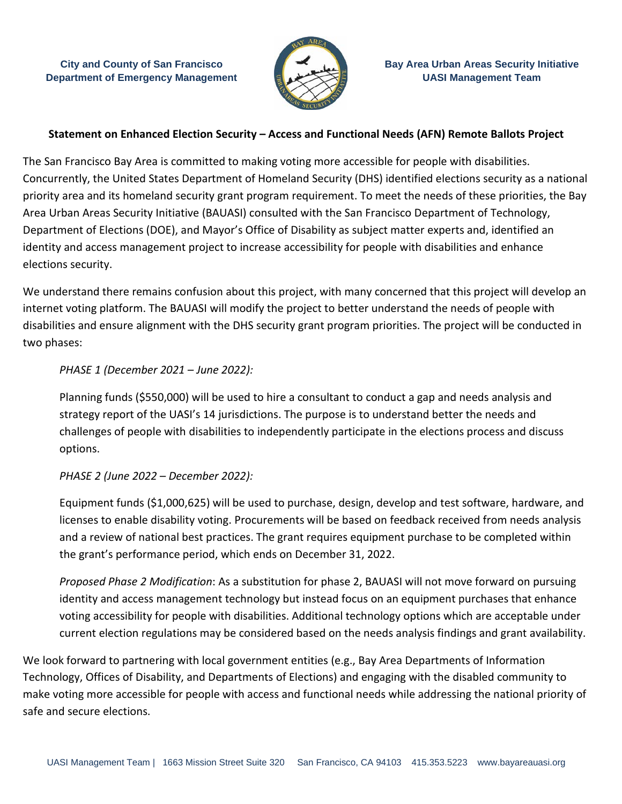**City and County of San Francisco Department of Emergency Management**



# **Statement on Enhanced Election Security – Access and Functional Needs (AFN) Remote Ballots Project**

The San Francisco Bay Area is committed to making voting more accessible for people with disabilities. Concurrently, the United States Department of Homeland Security (DHS) identified elections security as a national priority area and its homeland security grant program requirement. To meet the needs of these priorities, the Bay Area Urban Areas Security Initiative (BAUASI) consulted with the San Francisco Department of Technology, Department of Elections (DOE), and Mayor's Office of Disability as subject matter experts and, identified an identity and access management project to increase accessibility for people with disabilities and enhance elections security.

We understand there remains confusion about this project, with many concerned that this project will develop an internet voting platform. The BAUASI will modify the project to better understand the needs of people with disabilities and ensure alignment with the DHS security grant program priorities. The project will be conducted in two phases:

## *PHASE 1 (December 2021 – June 2022):*

Planning funds (\$550,000) will be used to hire a consultant to conduct a gap and needs analysis and strategy report of the UASI's 14 jurisdictions. The purpose is to understand better the needs and challenges of people with disabilities to independently participate in the elections process and discuss options.

## *PHASE 2 (June 2022 – December 2022):*

Equipment funds (\$1,000,625) will be used to purchase, design, develop and test software, hardware, and licenses to enable disability voting. Procurements will be based on feedback received from needs analysis and a review of national best practices. The grant requires equipment purchase to be completed within the grant's performance period, which ends on December 31, 2022.

*Proposed Phase 2 Modification*: As a substitution for phase 2, BAUASI will not move forward on pursuing identity and access management technology but instead focus on an equipment purchases that enhance voting accessibility for people with disabilities. Additional technology options which are acceptable under current election regulations may be considered based on the needs analysis findings and grant availability.

We look forward to partnering with local government entities (e.g., Bay Area Departments of Information Technology, Offices of Disability, and Departments of Elections) and engaging with the disabled community to make voting more accessible for people with access and functional needs while addressing the national priority of safe and secure elections.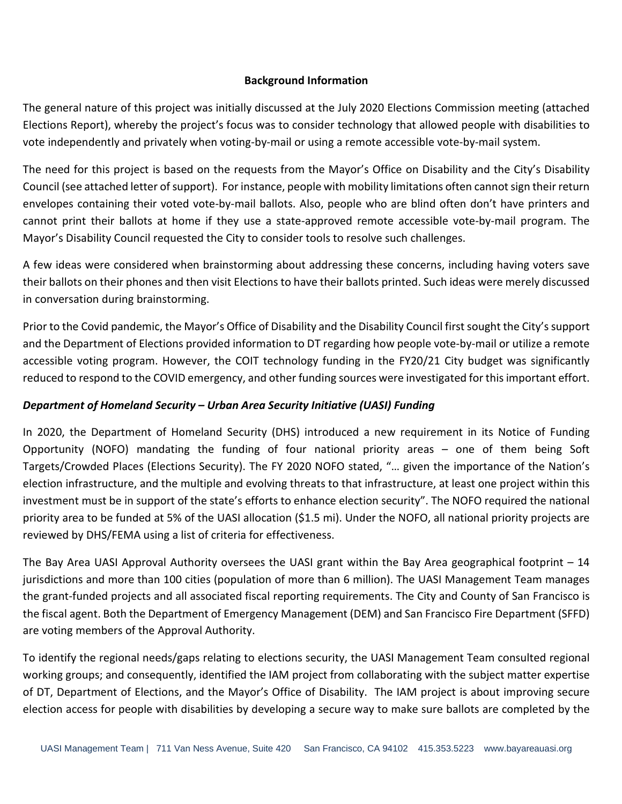### **Background Information**

The general nature of this project was initially discussed at the July 2020 Elections Commission meeting (attached Elections Report), whereby the project's focus was to consider technology that allowed people with disabilities to vote independently and privately when voting-by-mail or using a remote accessible vote-by-mail system.

The need for this project is based on the requests from the Mayor's Office on Disability and the City's Disability Council (see attached letter of support). For instance, people with mobility limitations often cannot sign their return envelopes containing their voted vote-by-mail ballots. Also, people who are blind often don't have printers and cannot print their ballots at home if they use a state-approved remote accessible vote-by-mail program. The Mayor's Disability Council requested the City to consider tools to resolve such challenges.

A few ideas were considered when brainstorming about addressing these concerns, including having voters save their ballots on their phones and then visit Elections to have their ballots printed. Such ideas were merely discussed in conversation during brainstorming.

Prior to the Covid pandemic, the Mayor's Office of Disability and the Disability Council first sought the City's support and the Department of Elections provided information to DT regarding how people vote-by-mail or utilize a remote accessible voting program. However, the COIT technology funding in the FY20/21 City budget was significantly reduced to respond to the COVID emergency, and other funding sources were investigated for this important effort.

## *Department of Homeland Security – Urban Area Security Initiative (UASI) Funding*

In 2020, the Department of Homeland Security (DHS) introduced a new requirement in its Notice of Funding Opportunity (NOFO) mandating the funding of four national priority areas – one of them being Soft Targets/Crowded Places (Elections Security). The FY 2020 NOFO stated, "… given the importance of the Nation's election infrastructure, and the multiple and evolving threats to that infrastructure, at least one project within this investment must be in support of the state's efforts to enhance election security". The NOFO required the national priority area to be funded at 5% of the UASI allocation (\$1.5 mi). Under the NOFO, all national priority projects are reviewed by DHS/FEMA using a list of criteria for effectiveness.

The Bay Area UASI Approval Authority oversees the UASI grant within the Bay Area geographical footprint – 14 jurisdictions and more than 100 cities (population of more than 6 million). The UASI Management Team manages the grant-funded projects and all associated fiscal reporting requirements. The City and County of San Francisco is the fiscal agent. Both the Department of Emergency Management (DEM) and San Francisco Fire Department (SFFD) are voting members of the Approval Authority.

To identify the regional needs/gaps relating to elections security, the UASI Management Team consulted regional working groups; and consequently, identified the IAM project from collaborating with the subject matter expertise of DT, Department of Elections, and the Mayor's Office of Disability. The IAM project is about improving secure election access for people with disabilities by developing a secure way to make sure ballots are completed by the